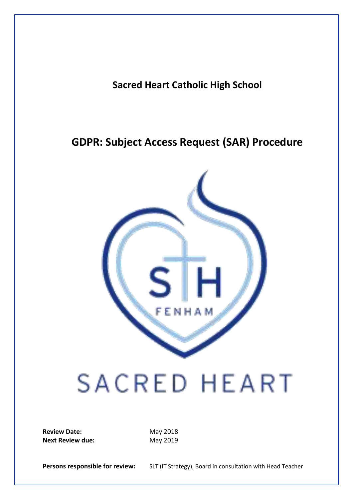**Sacred Heart Catholic High School**

## **GDPR: Subject Access Request (SAR) Procedure**



## **SACRED HEART**

**Review Date:** May 2018 **Next Review due:** May 2019

Persons responsible for review: SLT (IT Strategy), Board in consultation with Head Teacher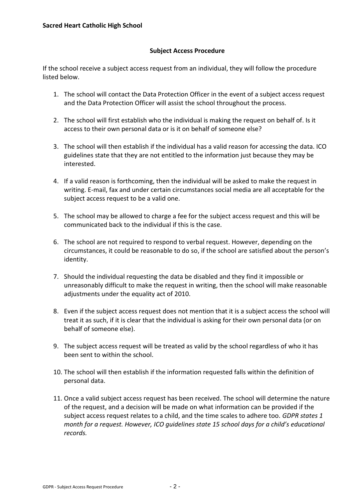## **Subject Access Procedure**

If the school receive a subject access request from an individual, they will follow the procedure listed below.

- 1. The school will contact the Data Protection Officer in the event of a subject access request and the Data Protection Officer will assist the school throughout the process.
- 2. The school will first establish who the individual is making the request on behalf of. Is it access to their own personal data or is it on behalf of someone else?
- 3. The school will then establish if the individual has a valid reason for accessing the data. ICO guidelines state that they are not entitled to the information just because they may be interested.
- 4. If a valid reason is forthcoming, then the individual will be asked to make the request in writing. E-mail, fax and under certain circumstances social media are all acceptable for the subject access request to be a valid one.
- 5. The school may be allowed to charge a fee for the subject access request and this will be communicated back to the individual if this is the case.
- 6. The school are not required to respond to verbal request. However, depending on the circumstances, it could be reasonable to do so, if the school are satisfied about the person's identity.
- 7. Should the individual requesting the data be disabled and they find it impossible or unreasonably difficult to make the request in writing, then the school will make reasonable adjustments under the equality act of 2010.
- 8. Even if the subject access request does not mention that it is a subject access the school will treat it as such, if it is clear that the individual is asking for their own personal data (or on behalf of someone else).
- 9. The subject access request will be treated as valid by the school regardless of who it has been sent to within the school.
- 10. The school will then establish if the information requested falls within the definition of personal data.
- 11. Once a valid subject access request has been received. The school will determine the nature of the request, and a decision will be made on what information can be provided if the subject access request relates to a child, and the time scales to adhere too. *GDPR states 1 month for a request. However, ICO guidelines state 15 school days for a child's educational records.*